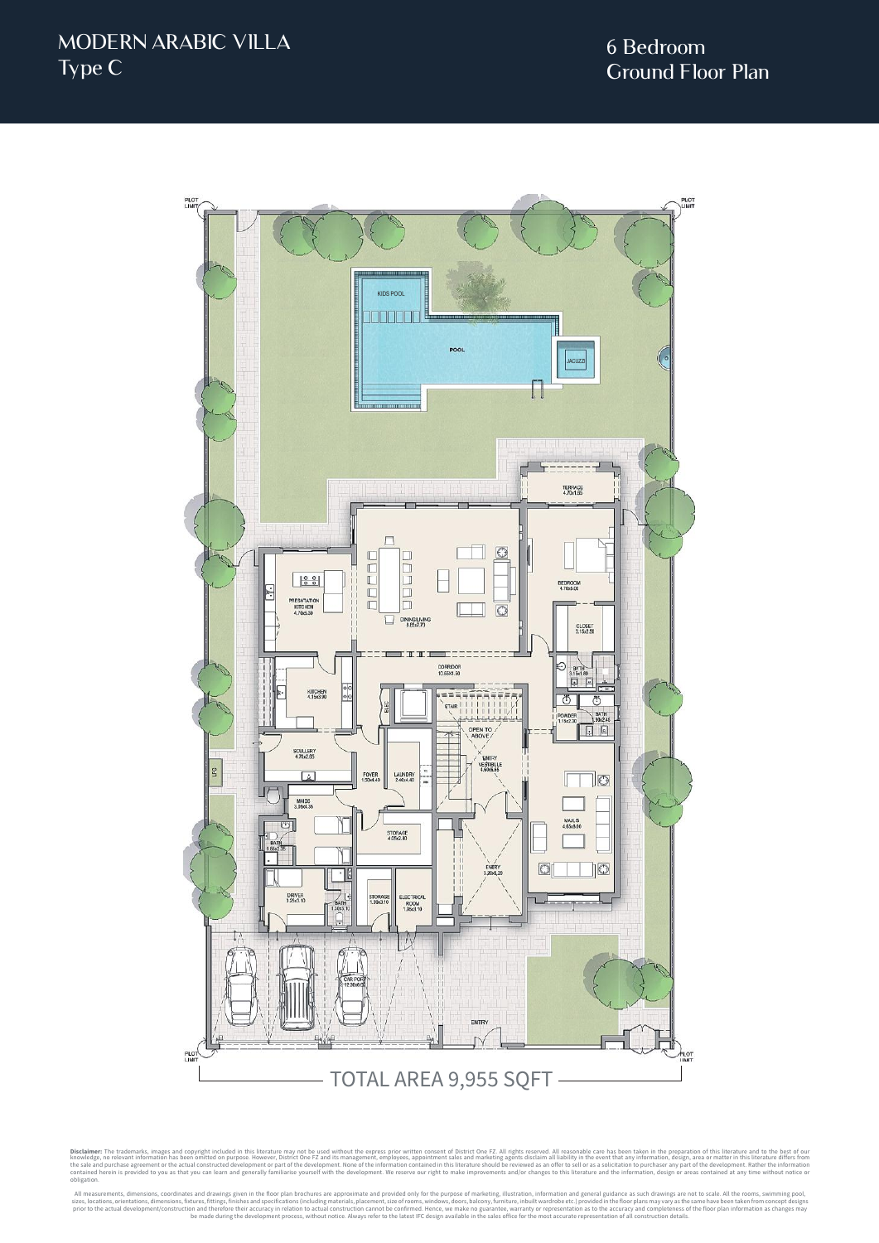

Disclaimer: The trademarks, images and copyright included in this literature may not be used without the express prior written consent of District One FZ. All rights reserved. All reasonable care has been taken in the prep obligation.

All measurements, dimensions, coordinates and drawings given in the floor plan brochures are approximate and provided only for the purpose of marketing, illustration, information and general guidance as such drawings are n